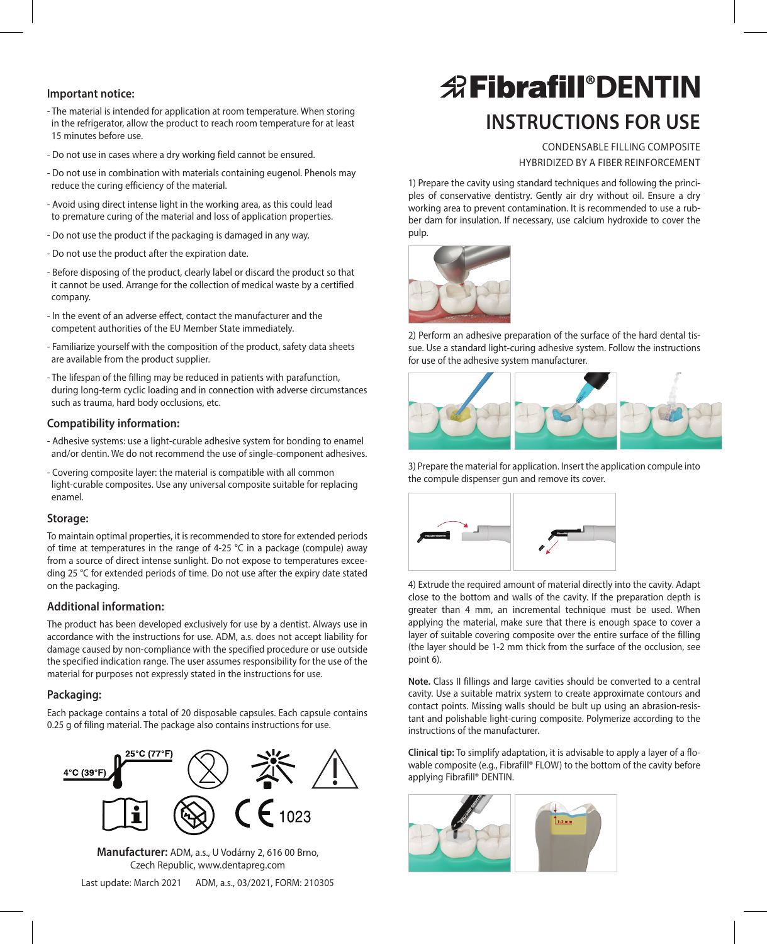- The material is intended for application at room temperature. When storing in the refrigerator, allow the product to reach room temperature for at least 15 minutes before use.
- Do not use in cases where a dry working field cannot be ensured.
- Do not use in combination with materials containing eugenol. Phenols may reduce the curing efficiency of the material.
- Avoid using direct intense light in the working area, as this could lead to premature curing of the material and loss of application properties.
- Do not use the product if the packaging is damaged in any way.
- Do not use the product after the expiration date.
- Before disposing of the product, clearly label or discard the product so that it cannot be used. Arrange for the collection of medical waste by a certified company.
- In the event of an adverse effect, contact the manufacturer and the competent authorities of the EU Member State immediately.
- Familiarize yourself with the composition of the product, safety data sheets are available from the product supplier.
- The lifespan of the filling may be reduced in patients with parafunction, during long-term cyclic loading and in connection with adverse circumstances such as trauma, hard body occlusions, etc.

### **Compatibility information:**

- Adhesive systems: use a light-curable adhesive system for bonding to enamel and/or dentin. We do not recommend the use of single-component adhesives.
- Covering composite layer: the material is compatible with all common light-curable composites. Use any universal composite suitable for replacing enamel.

### **Storage:**

To maintain optimal properties, it is recommended to store for extended periods of time at temperatures in the range of 4-25 °C in a package (compule) away from a source of direct intense sunlight. Do not expose to temperatures exceeding 25 °C for extended periods of time. Do not use after the expiry date stated on the packaging.

### **Additional information:**

The product has been developed exclusively for use by a dentist. Always use in accordance with the instructions for use. ADM, a.s. does not accept liability for damage caused by non-compliance with the specified procedure or use outside the specified indication range. The user assumes responsibility for the use of the material for purposes not expressly stated in the instructions for use.

### **Packaging:**

Each package contains a total of 20 disposable capsules. Each capsule contains 0.25 g of filing material. The package also contains instructions for use.



**Manufacturer:** ADM, a.s., U Vodárny 2, 616 00 Brno, Czech Republic, www.dentapreg.com Last update: March 2021 ADM, a.s., 03/2021, FORM: 210305

# **Instructions for use** Important notice: **DENTIN**

CONDENSABLE FILLING COMPOSITE HYBRIDIZED BY A FIBER REINFORCEMENT

1) Prepare the cavity using standard techniques and following the principles of conservative dentistry. Gently air dry without oil. Ensure a dry working area to prevent contamination. It is recommended to use a rubber dam for insulation. If necessary, use calcium hydroxide to cover the pulp.



2) Perform an adhesive preparation of the surface of the hard dental tissue. Use a standard light-curing adhesive system. Follow the instructions for use of the adhesive system manufacturer.



3) Prepare the material for application. Insert the application compule into the compule dispenser gun and remove its cover.



4) Extrude the required amount of material directly into the cavity. Adapt close to the bottom and walls of the cavity. If the preparation depth is greater than 4 mm, an incremental technique must be used. When applying the material, make sure that there is enough space to cover a layer of suitable covering composite over the entire surface of the filling (the layer should be 1-2 mm thick from the surface of the occlusion, see point 6).

**Note.** Class II fillings and large cavities should be converted to a central cavity. Use a suitable matrix system to create approximate contours and contact points. Missing walls should be bult up using an abrasion-resistant and polishable light-curing composite. Polymerize according to the instructions of the manufacturer.

**Clinical tip:** To simplify adaptation, it is advisable to apply a layer of a flowable composite (e.g., Fibrafill® FLOW) to the bottom of the cavity before applying Fibrafill® DENTIN.